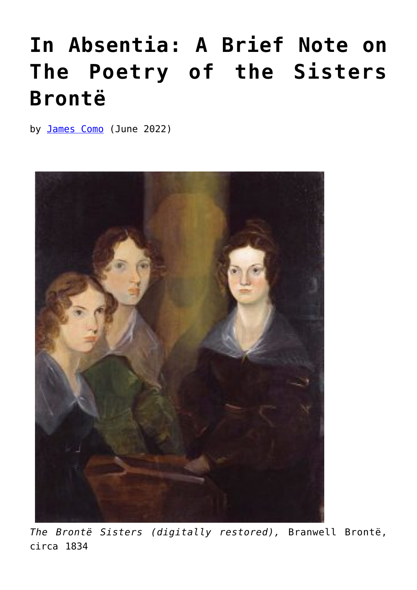## **[In Absentia: A Brief Note on](https://www.newenglishreview.org/articles/in-absentia-a-brief-note-on-the-poetry-of-the-sisters-bronte/) [The Poetry of the Sisters](https://www.newenglishreview.org/articles/in-absentia-a-brief-note-on-the-poetry-of-the-sisters-bronte/) [Brontë](https://www.newenglishreview.org/articles/in-absentia-a-brief-note-on-the-poetry-of-the-sisters-bronte/)**

by **[James Como](https://www.newenglishreview.org/authors/james-como/)** (June 2022)



*The Brontë Sisters (digitally restored),* Branwell Brontë, circa 1834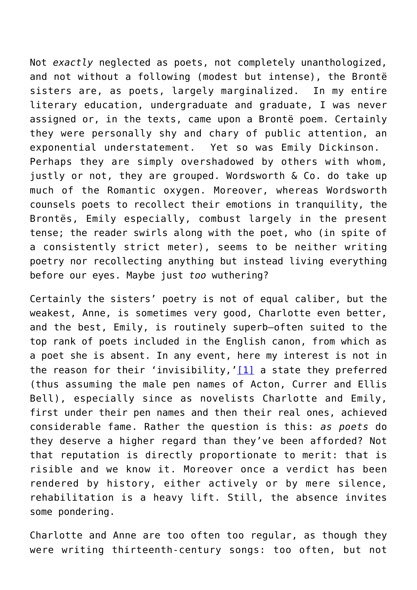Not *exactly* neglected as poets, not completely unanthologized, and not without a following (modest but intense), the Brontë sisters are, as poets, largely marginalized. In my entire literary education, undergraduate and graduate, I was never assigned or, in the texts, came upon a Brontë poem. Certainly they were personally shy and chary of public attention, an exponential understatement. Yet so was Emily Dickinson. Perhaps they are simply overshadowed by others with whom, justly or not, they are grouped. Wordsworth & Co. do take up much of the Romantic oxygen. Moreover, whereas Wordsworth counsels poets to recollect their emotions in tranquility, the Brontës, Emily especially, combust largely in the present tense; the reader swirls along with the poet, who (in spite of a consistently strict meter), seems to be neither writing poetry nor recollecting anything but instead living everything before our eyes. Maybe just *too* wuthering?

<span id="page-1-0"></span>Certainly the sisters' poetry is not of equal caliber, but the weakest, Anne, is sometimes very good, Charlotte even better, and the best, Emily, is routinely superb—often suited to the top rank of poets included in the English canon, from which as a poet she is absent. In any event, here my interest is not in the reason for their 'invisibility,' $[1]$  a state they preferred (thus assuming the male pen names of Acton, Currer and Ellis Bell), especially since as novelists Charlotte and Emily, first under their pen names and then their real ones, achieved considerable fame. Rather the question is this: *as poets* do they deserve a higher regard than they've been afforded? Not that reputation is directly proportionate to merit: that is risible and we know it. Moreover once a verdict has been rendered by history, either actively or by mere silence, rehabilitation is a heavy lift. Still, the absence invites some pondering.

Charlotte and Anne are too often too regular, as though they were writing thirteenth-century songs: too often, but not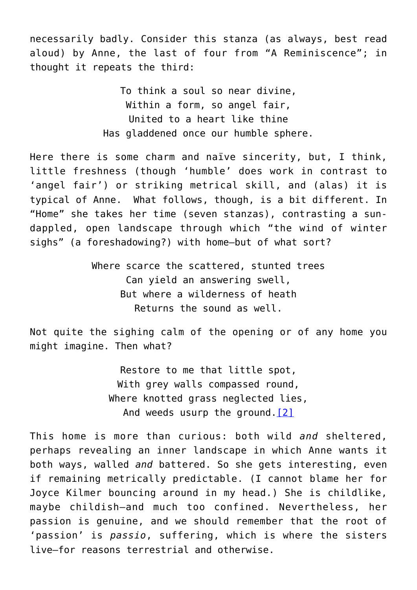necessarily badly. Consider this stanza (as always, best read aloud) by Anne, the last of four from "A Reminiscence"; in thought it repeats the third:

> To think a soul so near divine, Within a form, so angel fair, United to a heart like thine Has gladdened once our humble sphere.

Here there is some charm and naïve sincerity, but, I think, little freshness (though 'humble' does work in contrast to 'angel fair') or striking metrical skill, and (alas) it is typical of Anne. What follows, though, is a bit different. In "Home" she takes her time (seven stanzas), contrasting a sundappled, open landscape through which "the wind of winter sighs" (a foreshadowing?) with home—but of what sort?

> Where scarce the scattered, stunted trees Can yield an answering swell, But where a wilderness of heath Returns the sound as well.

Not quite the sighing calm of the opening or of any home you might imagine. Then what?

> Restore to me that little spot, With grey walls compassed round, Where knotted grass neglected lies, And weeds usurp the ground. [2]

<span id="page-2-0"></span>This home is more than curious: both wild *and* sheltered, perhaps revealing an inner landscape in which Anne wants it both ways, walled *and* battered. So she gets interesting, even if remaining metrically predictable. (I cannot blame her for Joyce Kilmer bouncing around in my head.) She is childlike, maybe childish—and much too confined. Nevertheless, her passion is genuine, and we should remember that the root of 'passion' is *passio*, suffering, which is where the sisters live—for reasons terrestrial and otherwise.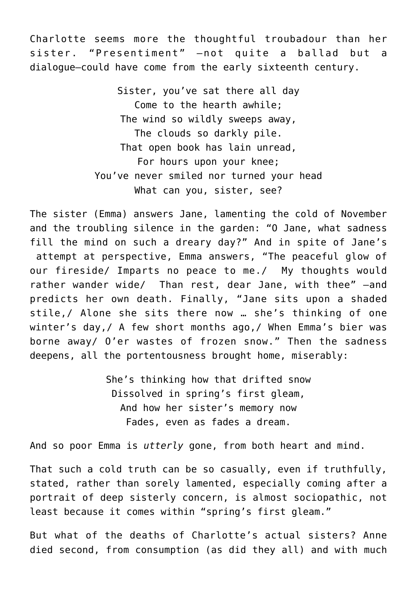Charlotte seems more the thoughtful troubadour than her sister. "Presentiment" —not quite a ballad but a dialogue—could have come from the early sixteenth century.

> Sister, you've sat there all day Come to the hearth awhile; The wind so wildly sweeps away, The clouds so darkly pile. That open book has lain unread, For hours upon your knee; You've never smiled nor turned your head What can you, sister, see?

The sister (Emma) answers Jane, lamenting the cold of November and the troubling silence in the garden: "O Jane, what sadness fill the mind on such a dreary day?" And in spite of Jane's attempt at perspective, Emma answers, "The peaceful glow of our fireside/ Imparts no peace to me./ My thoughts would rather wander wide/ Than rest, dear Jane, with thee" —and predicts her own death. Finally, "Jane sits upon a shaded stile,/ Alone she sits there now … she's thinking of one winter's day,/ A few short months ago,/ When Emma's bier was borne away/ O'er wastes of frozen snow." Then the sadness deepens, all the portentousness brought home, miserably:

> She's thinking how that drifted snow Dissolved in spring's first gleam, And how her sister's memory now Fades, even as fades a dream.

And so poor Emma is *utterly* gone, from both heart and mind.

That such a cold truth can be so casually, even if truthfully, stated, rather than sorely lamented, especially coming after a portrait of deep sisterly concern, is almost sociopathic, not least because it comes within "spring's first gleam."

But what of the deaths of Charlotte's actual sisters? Anne died second, from consumption (as did they all) and with much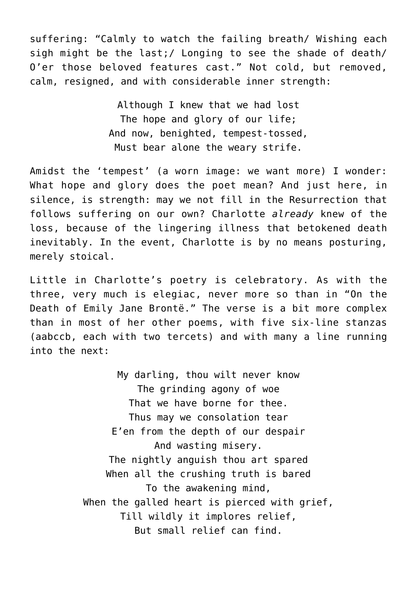suffering: "Calmly to watch the failing breath/ Wishing each sigh might be the last;/ Longing to see the shade of death/ O'er those beloved features cast." Not cold, but removed, calm, resigned, and with considerable inner strength:

> Although I knew that we had lost The hope and glory of our life; And now, benighted, tempest-tossed, Must bear alone the weary strife.

Amidst the 'tempest' (a worn image: we want more) I wonder: What hope and glory does the poet mean? And just here, in silence, is strength: may we not fill in the Resurrection that follows suffering on our own? Charlotte *already* knew of the loss, because of the lingering illness that betokened death inevitably. In the event, Charlotte is by no means posturing, merely stoical.

Little in Charlotte's poetry is celebratory. As with the three, very much is elegiac, never more so than in "On the Death of Emily Jane Brontë." The verse is a bit more complex than in most of her other poems, with five six-line stanzas (aabccb, each with two tercets) and with many a line running into the next:

> My darling, thou wilt never know The grinding agony of woe That we have borne for thee. Thus may we consolation tear E'en from the depth of our despair And wasting misery. The nightly anguish thou art spared When all the crushing truth is bared To the awakening mind, When the galled heart is pierced with grief, Till wildly it implores relief, But small relief can find.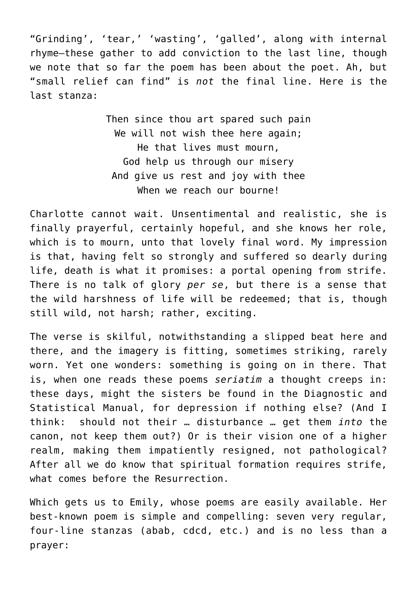"Grinding', 'tear,' 'wasting', 'galled', along with internal rhyme—these gather to add conviction to the last line, though we note that so far the poem has been about the poet. Ah, but "small relief can find" is *not* the final line. Here is the last stanza:

> Then since thou art spared such pain We will not wish thee here again; He that lives must mourn, God help us through our misery And give us rest and joy with thee When we reach our bourne!

Charlotte cannot wait. Unsentimental and realistic, she is finally prayerful, certainly hopeful, and she knows her role, which is to mourn, unto that lovely final word. My impression is that, having felt so strongly and suffered so dearly during life, death is what it promises: a portal opening from strife. There is no talk of glory *per se*, but there is a sense that the wild harshness of life will be redeemed; that is, though still wild, not harsh; rather, exciting.

The verse is skilful, notwithstanding a slipped beat here and there, and the imagery is fitting, sometimes striking, rarely worn. Yet one wonders: something is going on in there. That is, when one reads these poems *seriatim* a thought creeps in: these days, might the sisters be found in the Diagnostic and Statistical Manual, for depression if nothing else? (And I think: should not their … disturbance … get them *into* the canon, not keep them out?) Or is their vision one of a higher realm, making them impatiently resigned, not pathological? After all we do know that spiritual formation requires strife, what comes before the Resurrection.

Which gets us to Emily, whose poems are easily available. Her best-known poem is simple and compelling: seven very regular, four-line stanzas (abab, cdcd, etc.) and is no less than a prayer: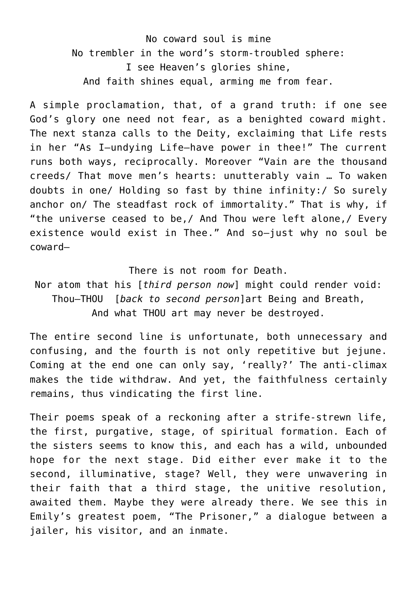No coward soul is mine No trembler in the word's storm-troubled sphere: I see Heaven's glories shine, And faith shines equal, arming me from fear.

A simple proclamation, that, of a grand truth: if one see God's glory one need not fear, as a benighted coward might. The next stanza calls to the Deity, exclaiming that Life rests in her "As I—undying Life—have power in thee!" The current runs both ways, reciprocally. Moreover "Vain are the thousand creeds/ That move men's hearts: unutterably vain … To waken doubts in one/ Holding so fast by thine infinity:/ So surely anchor on/ The steadfast rock of immortality." That is why, if "the universe ceased to be,/ And Thou were left alone,/ Every existence would exist in Thee." And so—just why no soul be coward—

There is not room for Death.

Nor atom that his [*third person now*] might could render void: Thou—THOU [*back to second person*]art Being and Breath, And what THOU art may never be destroyed.

The entire second line is unfortunate, both unnecessary and confusing, and the fourth is not only repetitive but jejune. Coming at the end one can only say, 'really?' The anti-climax makes the tide withdraw. And yet, the faithfulness certainly remains, thus vindicating the first line.

Their poems speak of a reckoning after a strife-strewn life, the first, purgative, stage, of spiritual formation. Each of the sisters seems to know this, and each has a wild, unbounded hope for the next stage. Did either ever make it to the second, illuminative, stage? Well, they were unwavering in their faith that a third stage, the unitive resolution, awaited them. Maybe they were already there. We see this in Emily's greatest poem, "The Prisoner," a dialogue between a jailer, his visitor, and an inmate.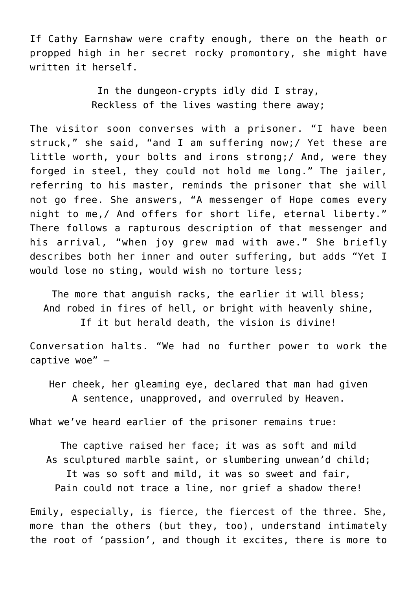If Cathy Earnshaw were crafty enough, there on the heath or propped high in her secret rocky promontory, she might have written it herself.

> In the dungeon-crypts idly did I stray, Reckless of the lives wasting there away;

The visitor soon converses with a prisoner. "I have been struck," she said, "and I am suffering now;/ Yet these are little worth, your bolts and irons strong;/ And, were they forged in steel, they could not hold me long." The jailer, referring to his master, reminds the prisoner that she will not go free. She answers, "A messenger of Hope comes every night to me,/ And offers for short life, eternal liberty." There follows a rapturous description of that messenger and his arrival, "when joy grew mad with awe." She briefly describes both her inner and outer suffering, but adds "Yet I would lose no sting, would wish no torture less;

The more that anguish racks, the earlier it will bless; And robed in fires of hell, or bright with heavenly shine, If it but herald death, the vision is divine!

Conversation halts. "We had no further power to work the captive woe" —

Her cheek, her gleaming eye, declared that man had given A sentence, unapproved, and overruled by Heaven.

What we've heard earlier of the prisoner remains true:

The captive raised her face; it was as soft and mild As sculptured marble saint, or slumbering unwean'd child; It was so soft and mild, it was so sweet and fair, Pain could not trace a line, nor grief a shadow there!

Emily, especially, is fierce, the fiercest of the three. She, more than the others (but they, too), understand intimately the root of 'passion', and though it excites, there is more to